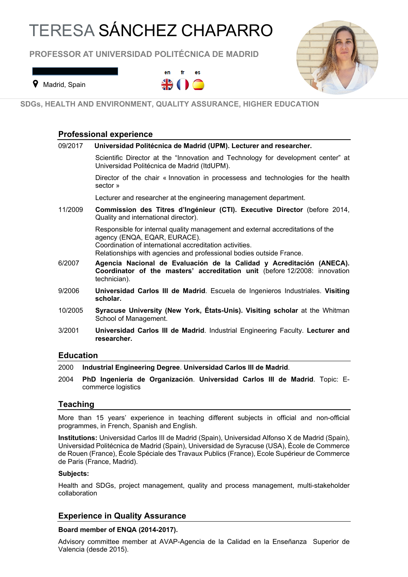# TERESA SÁNCHEZ CHAPARRO

**PROFESSOR AT UNIVERSIDAD POLITÉCNICA DE MADRID**



**9** Madrid, Spain

@ teresa.sanchez@upm.es



**SDGs, HEALTH AND ENVIRONMENT, QUALITY ASSURANCE, HIGHER EDUCATION**

## **Professional experience**

| 09/2017          | Universidad Politécnica de Madrid (UPM). Lecturer and researcher.                                                                                                                                                                                |
|------------------|--------------------------------------------------------------------------------------------------------------------------------------------------------------------------------------------------------------------------------------------------|
|                  | Scientific Director at the "Innovation and Technology for development center" at<br>Universidad Politécnica de Madrid (ItdUPM).                                                                                                                  |
|                  | Director of the chair « Innovation in processess and technologies for the health<br>sector »                                                                                                                                                     |
|                  | Lecturer and researcher at the engineering management department.                                                                                                                                                                                |
| 11/2009          | Commission des Titres d'Ingénieur (CTI). Executive Director (before 2014,<br>Quality and international director).                                                                                                                                |
|                  | Responsible for internal quality management and external accreditations of the<br>agency (ENQA, EQAR, EURACE).<br>Coordination of international accreditation activities.<br>Relationships with agencies and professional bodies outside France. |
| 6/2007           | Agencia Nacional de Evaluación de la Calidad y Acreditación (ANECA).<br>Coordinator of the masters' accreditation unit (before 12/2008: innovation<br>technician).                                                                               |
| 9/2006           | Universidad Carlos III de Madrid. Escuela de Ingenieros Industriales. Visiting<br>scholar.                                                                                                                                                       |
| 10/2005          | Syracuse University (New York, États-Unis). Visiting scholar at the Whitman<br>School of Management.                                                                                                                                             |
| 3/2001           | Universidad Carlos III de Madrid. Industrial Engineering Faculty. Lecturer and<br>researcher.                                                                                                                                                    |
| <b>Education</b> |                                                                                                                                                                                                                                                  |

#### 2000 **Industrial Engineering Degree**. **Universidad Carlos III de Madrid**.

2004 **PhD Ingeniería de Organización**. **Universidad Carlos III de Madrid**. Topic: Ecommerce logistics

## **Teaching**

More than 15 years' experience in teaching different subjects in official and non-official programmes, in French, Spanish and English.

**Institutions:** Universidad Carlos III de Madrid (Spain), Universidad Alfonso X de Madrid (Spain), Universidad Politécnica de Madrid (Spain), Universidad de Syracuse (USA), École de Commerce de Rouen (France), École Spéciale des Travaux Publics (France), Ecole Supérieur de Commerce de Paris (France, Madrid).

#### **Subjects:**

Health and SDGs, project management, quality and process management, multi-stakeholder collaboration

## **Experience in Quality Assurance**

## **Board member of ENQA (2014-2017).**

Advisory committee member at AVAP-Agencia de la Calidad en la Enseñanza Superior de Valencia (desde 2015).